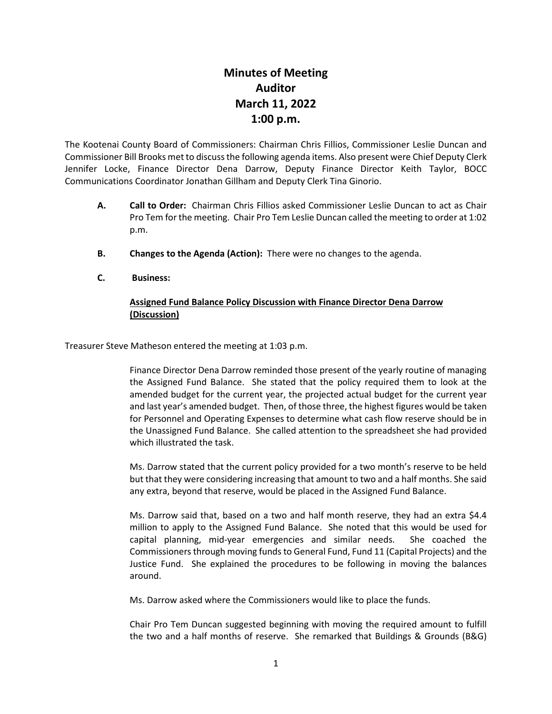## **Minutes of Meeting Auditor March 11, 2022 1:00 p.m.**

The Kootenai County Board of Commissioners: Chairman Chris Fillios, Commissioner Leslie Duncan and Commissioner Bill Brooks met to discuss the following agenda items. Also present were Chief Deputy Clerk Jennifer Locke, Finance Director Dena Darrow, Deputy Finance Director Keith Taylor, BOCC Communications Coordinator Jonathan Gillham and Deputy Clerk Tina Ginorio.

- **A. Call to Order:** Chairman Chris Fillios asked Commissioner Leslie Duncan to act as Chair Pro Tem for the meeting. Chair Pro Tem Leslie Duncan called the meeting to order at 1:02 p.m.
- **B. Changes to the Agenda (Action):** There were no changes to the agenda.
- **C. Business:**

## **Assigned Fund Balance Policy Discussion with Finance Director Dena Darrow (Discussion)**

Treasurer Steve Matheson entered the meeting at 1:03 p.m.

Finance Director Dena Darrow reminded those present of the yearly routine of managing the Assigned Fund Balance. She stated that the policy required them to look at the amended budget for the current year, the projected actual budget for the current year and last year's amended budget. Then, of those three, the highest figures would be taken for Personnel and Operating Expenses to determine what cash flow reserve should be in the Unassigned Fund Balance. She called attention to the spreadsheet she had provided which illustrated the task.

Ms. Darrow stated that the current policy provided for a two month's reserve to be held but that they were considering increasing that amount to two and a half months. She said any extra, beyond that reserve, would be placed in the Assigned Fund Balance.

Ms. Darrow said that, based on a two and half month reserve, they had an extra \$4.4 million to apply to the Assigned Fund Balance. She noted that this would be used for capital planning, mid-year emergencies and similar needs. She coached the Commissioners through moving funds to General Fund, Fund 11 (Capital Projects) and the Justice Fund. She explained the procedures to be following in moving the balances around.

Ms. Darrow asked where the Commissioners would like to place the funds.

Chair Pro Tem Duncan suggested beginning with moving the required amount to fulfill the two and a half months of reserve. She remarked that Buildings & Grounds (B&G)